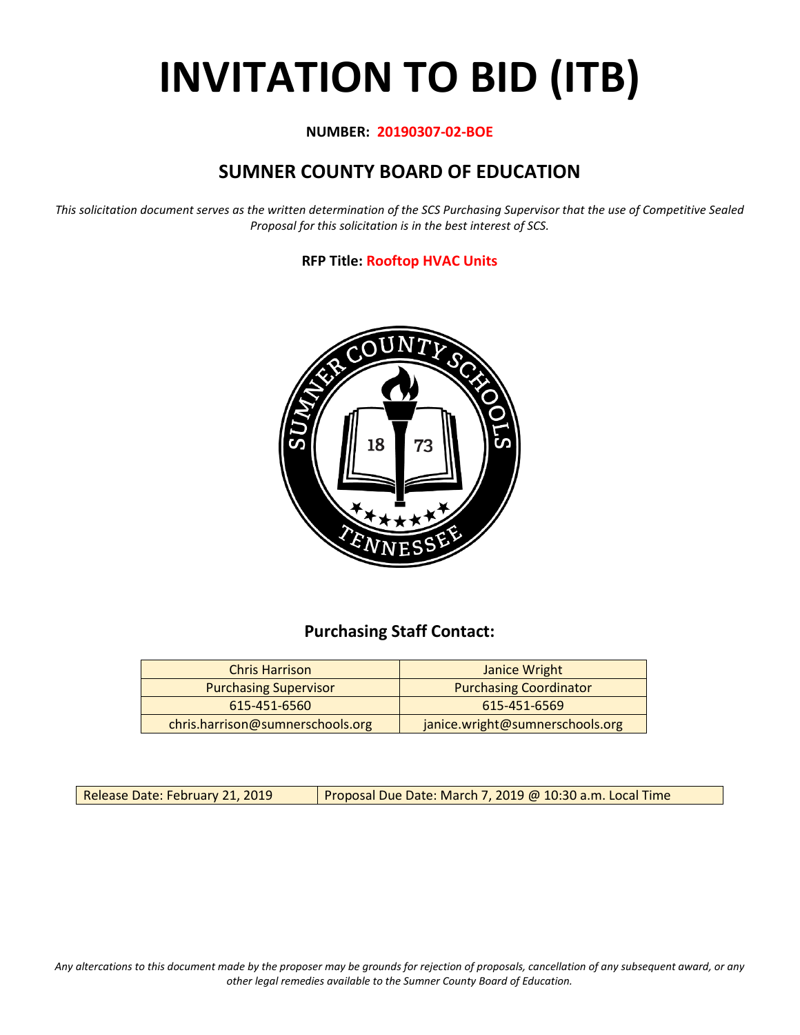# **INVITATION TO BID (ITB)**

#### **NUMBER: 20190307-02-BOE**

## **SUMNER COUNTY BOARD OF EDUCATION**

*This solicitation document serves as the written determination of the SCS Purchasing Supervisor that the use of Competitive Sealed Proposal for this solicitation is in the best interest of SCS.*

#### **RFP Title: Rooftop HVAC Units**



## **Purchasing Staff Contact:**

| <b>Chris Harrison</b>            | Janice Wright                   |
|----------------------------------|---------------------------------|
| <b>Purchasing Supervisor</b>     | <b>Purchasing Coordinator</b>   |
| 615-451-6560                     | 615-451-6569                    |
| chris.harrison@sumnerschools.org | janice.wright@sumnerschools.org |

Release Date: February 21, 2019 | Proposal Due Date: March 7, 2019 @ 10:30 a.m. Local Time

*Any altercations to this document made by the proposer may be grounds for rejection of proposals, cancellation of any subsequent award, or any other legal remedies available to the Sumner County Board of Education.*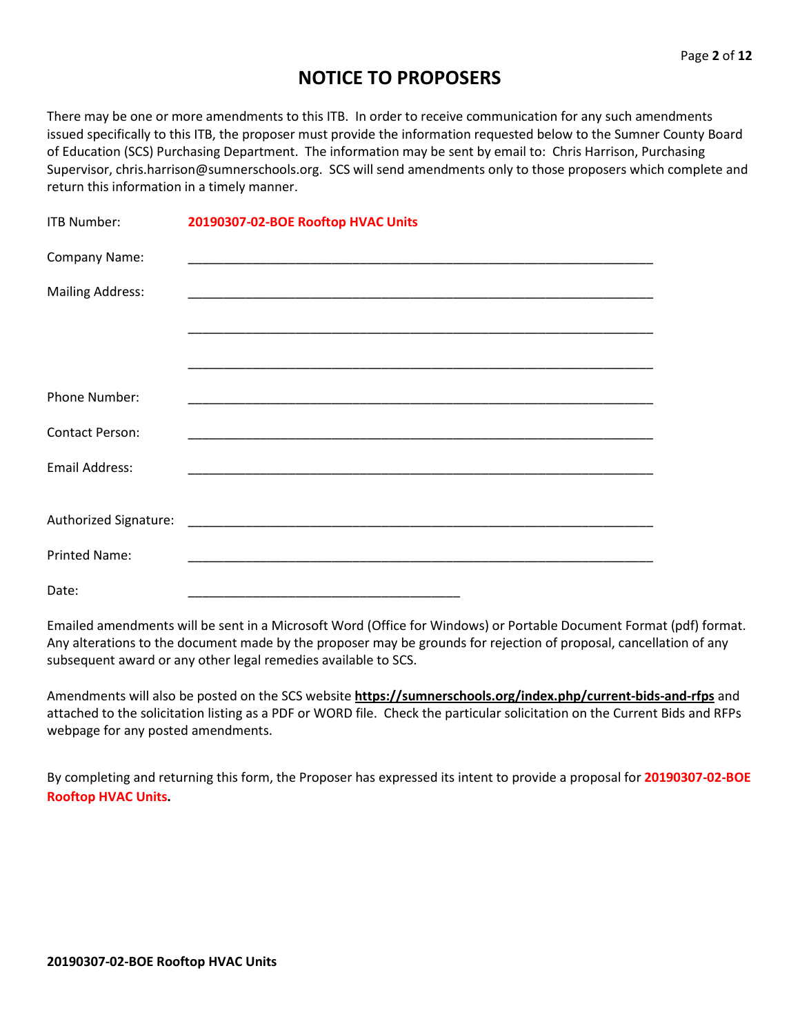## **NOTICE TO PROPOSERS**

There may be one or more amendments to this ITB. In order to receive communication for any such amendments issued specifically to this ITB, the proposer must provide the information requested below to the Sumner County Board of Education (SCS) Purchasing Department. The information may be sent by email to: Chris Harrison, Purchasing Supervisor, chris.harrison@sumnerschools.org. SCS will send amendments only to those proposers which complete and return this information in a timely manner.

| <b>ITB Number:</b>      | 20190307-02-BOE Rooftop HVAC Units                                                                                    |
|-------------------------|-----------------------------------------------------------------------------------------------------------------------|
| Company Name:           |                                                                                                                       |
| <b>Mailing Address:</b> |                                                                                                                       |
|                         | <u> 1989 - Johann Harry Harry Harry Harry Harry Harry Harry Harry Harry Harry Harry Harry Harry Harry Harry Harry</u> |
|                         |                                                                                                                       |
| <b>Phone Number:</b>    |                                                                                                                       |
| <b>Contact Person:</b>  |                                                                                                                       |
| <b>Email Address:</b>   |                                                                                                                       |
|                         |                                                                                                                       |
| <b>Printed Name:</b>    |                                                                                                                       |
| Date:                   |                                                                                                                       |

Emailed amendments will be sent in a Microsoft Word (Office for Windows) or Portable Document Format (pdf) format. Any alterations to the document made by the proposer may be grounds for rejection of proposal, cancellation of any subsequent award or any other legal remedies available to SCS.

Amendments will also be posted on the SCS website **https://sumnerschools.org/index.php/current-bids-and-rfps** and attached to the solicitation listing as a PDF or WORD file. Check the particular solicitation on the Current Bids and RFPs webpage for any posted amendments.

By completing and returning this form, the Proposer has expressed its intent to provide a proposal for **20190307-02-BOE Rooftop HVAC Units.**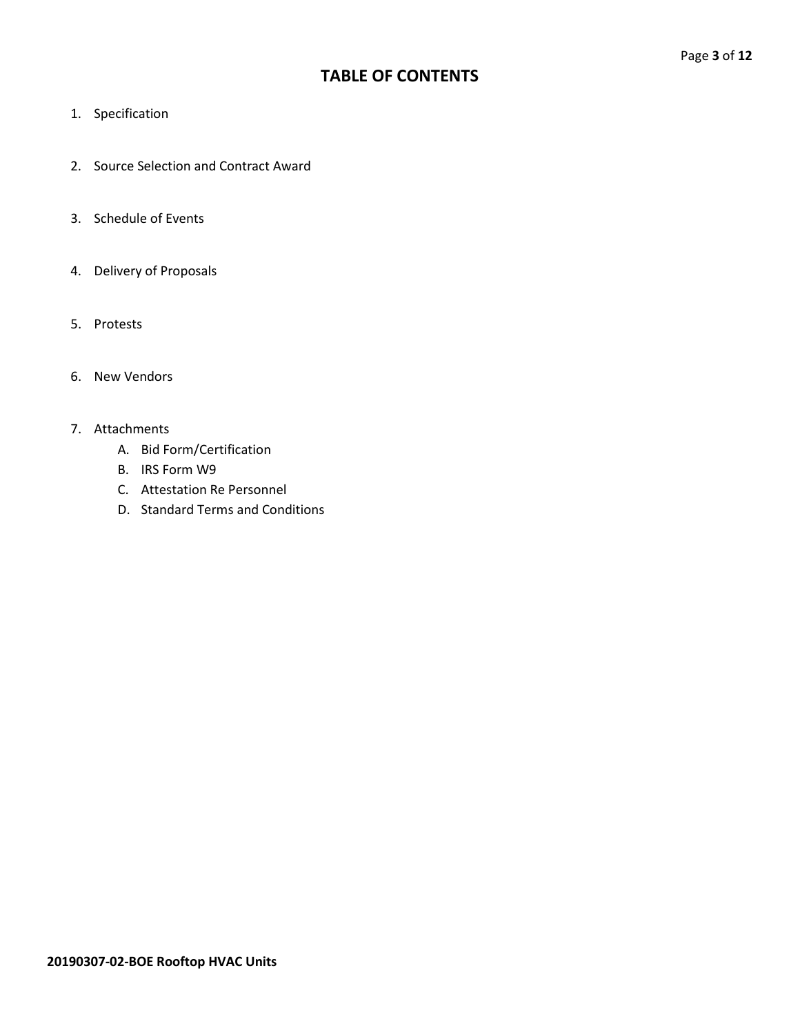## **TABLE OF CONTENTS**

- 1. Specification
- 2. Source Selection and Contract Award
- 3. Schedule of Events
- 4. Delivery of Proposals
- 5. Protests
- 6. New Vendors

#### 7. Attachments

- A. Bid Form/Certification
- B. IRS Form W9
- C. Attestation Re Personnel
- D. Standard Terms and Conditions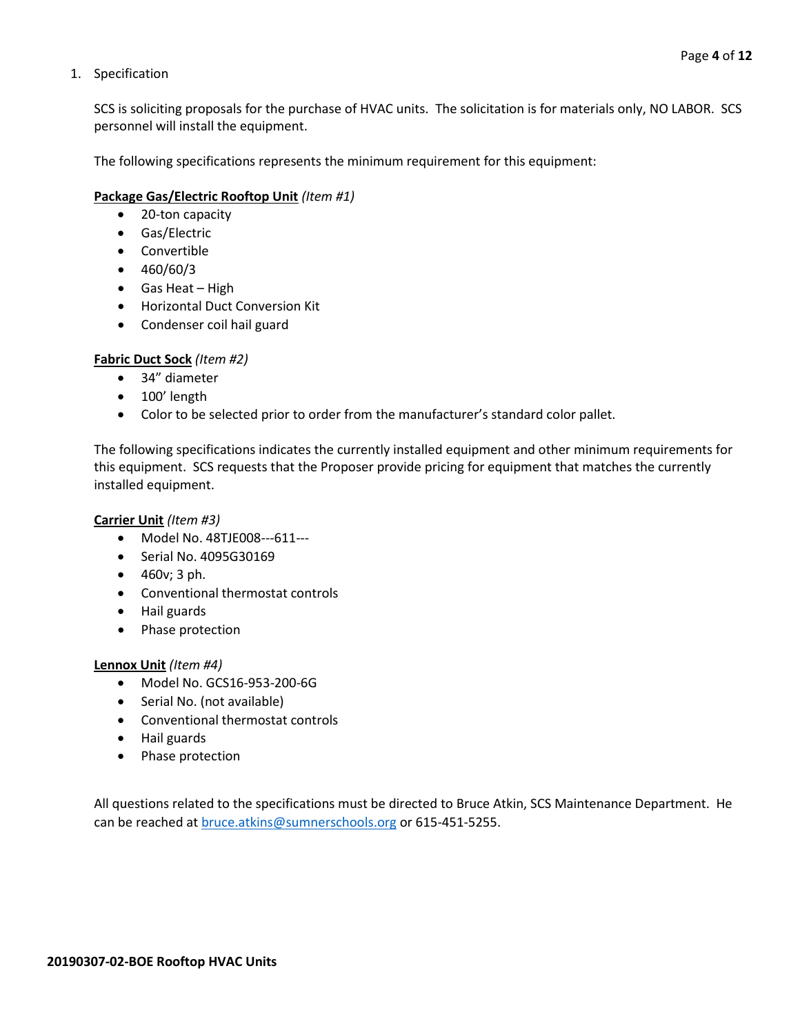#### 1. Specification

SCS is soliciting proposals for the purchase of HVAC units. The solicitation is for materials only, NO LABOR. SCS personnel will install the equipment.

The following specifications represents the minimum requirement for this equipment:

#### **Package Gas/Electric Rooftop Unit** *(Item #1)*

- 20-ton capacity
- Gas/Electric
- Convertible
- 460/60/3
- Gas Heat High
- Horizontal Duct Conversion Kit
- Condenser coil hail guard

#### **Fabric Duct Sock** *(Item #2)*

- 34" diameter
- 100' length
- Color to be selected prior to order from the manufacturer's standard color pallet.

The following specifications indicates the currently installed equipment and other minimum requirements for this equipment. SCS requests that the Proposer provide pricing for equipment that matches the currently installed equipment.

#### **Carrier Unit** *(Item #3)*

- Model No. 48TJE008---611---
- Serial No. 4095G30169
- 460v; 3 ph.
- Conventional thermostat controls
- Hail guards
- Phase protection

#### **Lennox Unit** *(Item #4)*

- Model No. GCS16-953-200-6G
- Serial No. (not available)
- Conventional thermostat controls
- Hail guards
- Phase protection

All questions related to the specifications must be directed to Bruce Atkin, SCS Maintenance Department. He can be reached at **bruce.atkins@sumnerschools.org** or 615-451-5255.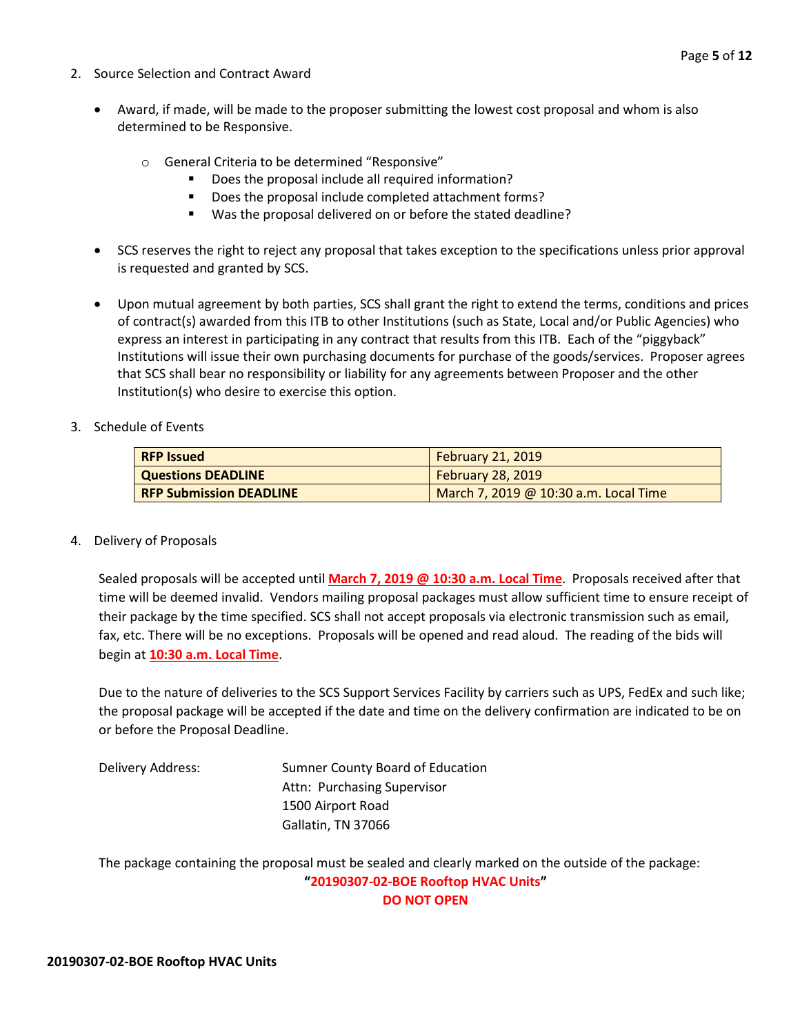- 2. Source Selection and Contract Award
	- Award, if made, will be made to the proposer submitting the lowest cost proposal and whom is also determined to be Responsive.
		- o General Criteria to be determined "Responsive"
			- Does the proposal include all required information?
			- Does the proposal include completed attachment forms?
			- Was the proposal delivered on or before the stated deadline?
	- SCS reserves the right to reject any proposal that takes exception to the specifications unless prior approval is requested and granted by SCS.
	- Upon mutual agreement by both parties, SCS shall grant the right to extend the terms, conditions and prices of contract(s) awarded from this ITB to other Institutions (such as State, Local and/or Public Agencies) who express an interest in participating in any contract that results from this ITB. Each of the "piggyback" Institutions will issue their own purchasing documents for purchase of the goods/services. Proposer agrees that SCS shall bear no responsibility or liability for any agreements between Proposer and the other Institution(s) who desire to exercise this option.
- 3. Schedule of Events

| <b>RFP Issued</b>              | <b>February 21, 2019</b>              |
|--------------------------------|---------------------------------------|
| Questions DEADLINE             | <b>February 28, 2019</b>              |
| <b>RFP Submission DEADLINE</b> | March 7, 2019 @ 10:30 a.m. Local Time |

4. Delivery of Proposals

Sealed proposals will be accepted until **March 7, 2019 @ 10:30 a.m. Local Time**. Proposals received after that time will be deemed invalid. Vendors mailing proposal packages must allow sufficient time to ensure receipt of their package by the time specified. SCS shall not accept proposals via electronic transmission such as email, fax, etc. There will be no exceptions. Proposals will be opened and read aloud. The reading of the bids will begin at **10:30 a.m. Local Time**.

Due to the nature of deliveries to the SCS Support Services Facility by carriers such as UPS, FedEx and such like; the proposal package will be accepted if the date and time on the delivery confirmation are indicated to be on or before the Proposal Deadline.

Delivery Address: Sumner County Board of Education Attn: Purchasing Supervisor 1500 Airport Road Gallatin, TN 37066

The package containing the proposal must be sealed and clearly marked on the outside of the package: **"20190307-02-BOE Rooftop HVAC Units" DO NOT OPEN**

**20190307-02-BOE Rooftop HVAC Units**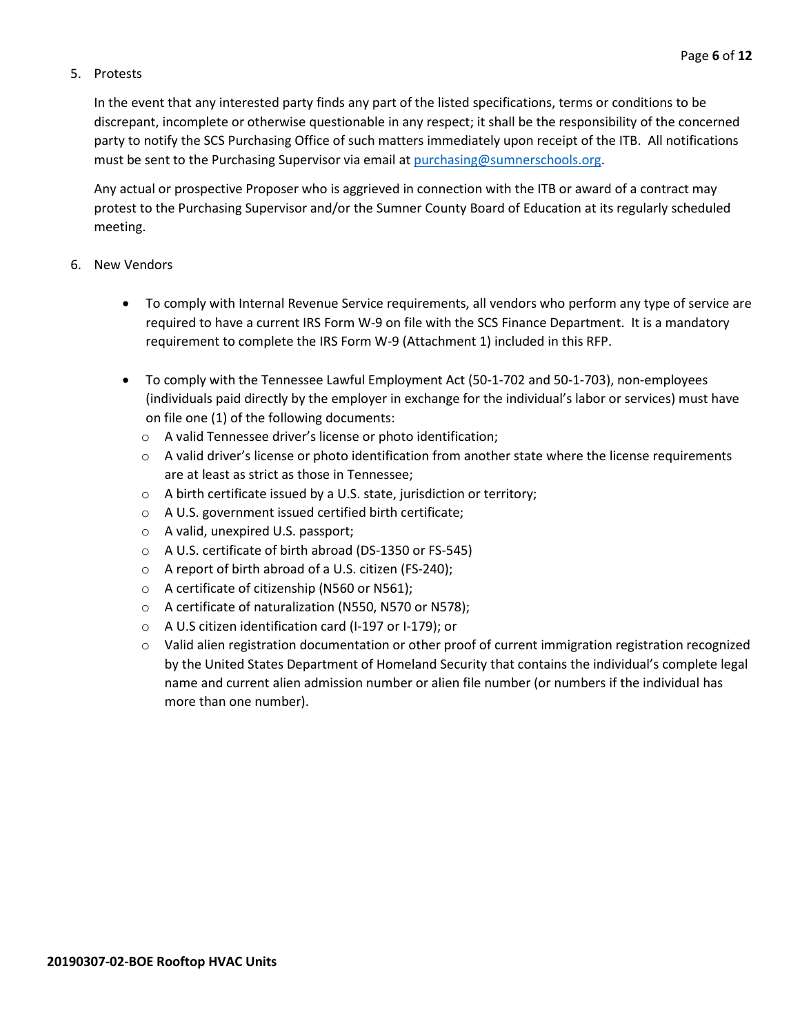#### 5. Protests

In the event that any interested party finds any part of the listed specifications, terms or conditions to be discrepant, incomplete or otherwise questionable in any respect; it shall be the responsibility of the concerned party to notify the SCS Purchasing Office of such matters immediately upon receipt of the ITB. All notifications must be sent to the Purchasing Supervisor via email at [purchasing@sumnerschools.org.](mailto:purchasing@sumnerschools.org)

Any actual or prospective Proposer who is aggrieved in connection with the ITB or award of a contract may protest to the Purchasing Supervisor and/or the Sumner County Board of Education at its regularly scheduled meeting.

#### 6. New Vendors

- To comply with Internal Revenue Service requirements, all vendors who perform any type of service are required to have a current IRS Form W-9 on file with the SCS Finance Department. It is a mandatory requirement to complete the IRS Form W-9 (Attachment 1) included in this RFP.
- To comply with the Tennessee Lawful Employment Act (50-1-702 and 50-1-703), non-employees (individuals paid directly by the employer in exchange for the individual's labor or services) must have on file one (1) of the following documents:
	- o A valid Tennessee driver's license or photo identification;
	- $\circ$  A valid driver's license or photo identification from another state where the license requirements are at least as strict as those in Tennessee;
	- o A birth certificate issued by a U.S. state, jurisdiction or territory;
	- o A U.S. government issued certified birth certificate;
	- o A valid, unexpired U.S. passport;
	- o A U.S. certificate of birth abroad (DS-1350 or FS-545)
	- o A report of birth abroad of a U.S. citizen (FS-240);
	- o A certificate of citizenship (N560 or N561);
	- o A certificate of naturalization (N550, N570 or N578);
	- o A U.S citizen identification card (I-197 or I-179); or
	- o Valid alien registration documentation or other proof of current immigration registration recognized by the United States Department of Homeland Security that contains the individual's complete legal name and current alien admission number or alien file number (or numbers if the individual has more than one number).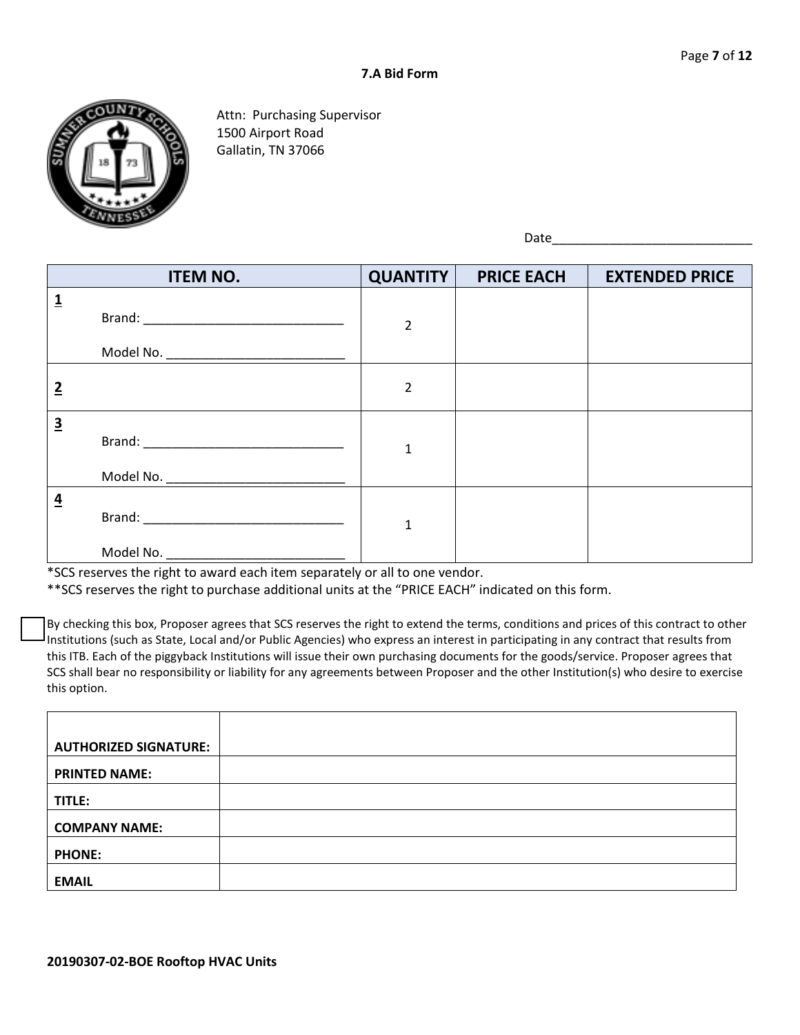

Attn: Purchasing Supervisor 1500 Airport Road Gallatin, TN 37066

Date\_\_\_\_\_\_\_\_\_\_\_\_\_\_\_\_\_\_\_\_\_\_\_\_\_\_\_\_

|                         | <b>ITEM NO.</b>                                     | <b>QUANTITY</b> | <b>PRICE EACH</b> | <b>EXTENDED PRICE</b> |
|-------------------------|-----------------------------------------------------|-----------------|-------------------|-----------------------|
| $\overline{\mathbf{1}}$ | Model No. _________ <del>____________________</del> | $\overline{2}$  |                   |                       |
| $\overline{2}$          |                                                     | $\overline{2}$  |                   |                       |
| $\overline{\mathbf{3}}$ |                                                     | $\mathbf{1}$    |                   |                       |
| $\overline{4}$          |                                                     | $\mathbf{1}$    |                   |                       |

\*SCS reserves the right to award each item separately or all to one vendor.

\*\*SCS reserves the right to purchase additional units at the "PRICE EACH" indicated on this form.

By checking this box, Proposer agrees that SCS reserves the right to extend the terms, conditions and prices of this contract to other Institutions (such as State, Local and/or Public Agencies) who express an interest in participating in any contract that results from this ITB. Each of the piggyback Institutions will issue their own purchasing documents for the goods/service. Proposer agrees that SCS shall bear no responsibility or liability for any agreements between Proposer and the other Institution(s) who desire to exercise this option.

| <b>AUTHORIZED SIGNATURE:</b> |  |
|------------------------------|--|
| <b>PRINTED NAME:</b>         |  |
| TITLE:                       |  |
| <b>COMPANY NAME:</b>         |  |
| <b>PHONE:</b>                |  |
| <b>EMAIL</b>                 |  |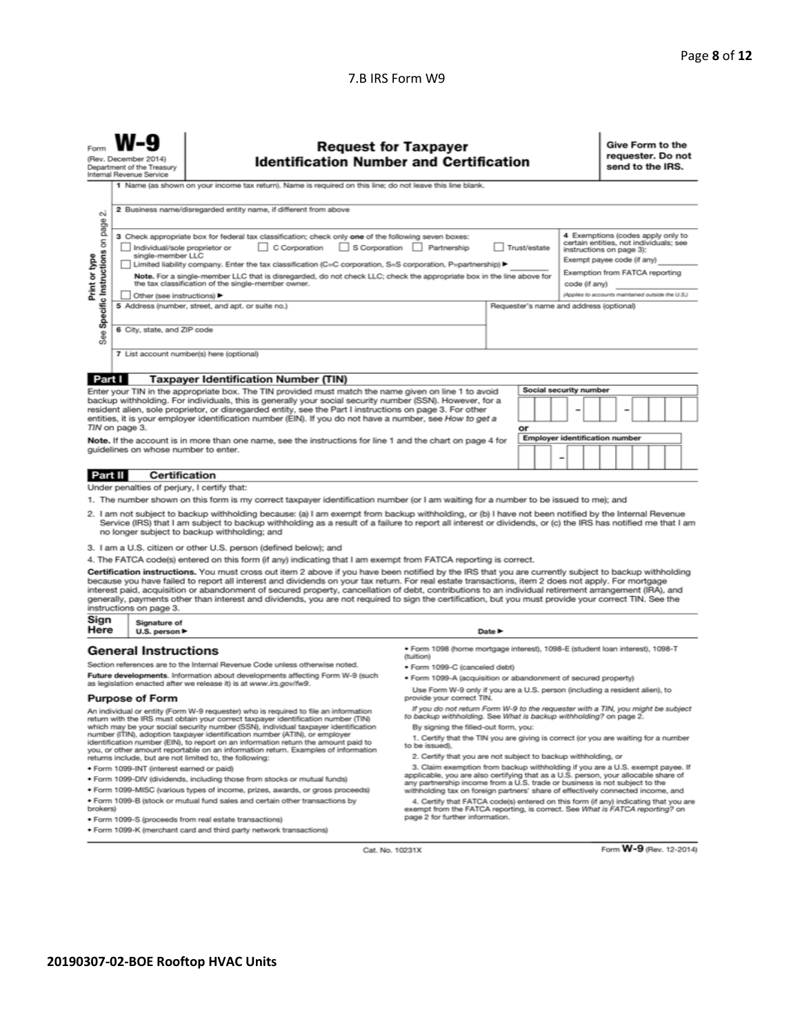#### 7.B IRS Form W9

| Forn                                                                                                                                                                                                                                                                                                                                                                                                                                                                                                                                                                                                                                                                                                                                                                          | <b>Request for Taxpayer</b><br>(Rev. December 2014)<br><b>Identification Number and Certification</b><br>Department of the Treasury<br>Internal Revenue Service |                                                                                                                                                                                                                                                                                                                                              |                                                                                                                                                                                                                                                                                    |        |  |   | Give Form to the<br>send to the IRS.                                                         |  | requester. Do not |  |
|-------------------------------------------------------------------------------------------------------------------------------------------------------------------------------------------------------------------------------------------------------------------------------------------------------------------------------------------------------------------------------------------------------------------------------------------------------------------------------------------------------------------------------------------------------------------------------------------------------------------------------------------------------------------------------------------------------------------------------------------------------------------------------|-----------------------------------------------------------------------------------------------------------------------------------------------------------------|----------------------------------------------------------------------------------------------------------------------------------------------------------------------------------------------------------------------------------------------------------------------------------------------------------------------------------------------|------------------------------------------------------------------------------------------------------------------------------------------------------------------------------------------------------------------------------------------------------------------------------------|--------|--|---|----------------------------------------------------------------------------------------------|--|-------------------|--|
|                                                                                                                                                                                                                                                                                                                                                                                                                                                                                                                                                                                                                                                                                                                                                                               |                                                                                                                                                                 | 1 Name (as shown on your income tax return). Name is required on this line; do not leave this line blank.                                                                                                                                                                                                                                    |                                                                                                                                                                                                                                                                                    |        |  |   |                                                                                              |  |                   |  |
| ۵i                                                                                                                                                                                                                                                                                                                                                                                                                                                                                                                                                                                                                                                                                                                                                                            | 2 Business name/disregarded entity name, if different from above                                                                                                |                                                                                                                                                                                                                                                                                                                                              |                                                                                                                                                                                                                                                                                    |        |  |   |                                                                                              |  |                   |  |
| page<br>4 Exemptions (codes apply only to<br>3 Check appropriate box for federal tax classification; check only one of the following seven boxes:<br>Specific Instructions on<br>certain entities, not individuals; see<br>S Corporation Partnership<br>Trust/estate<br>Individual/sole proprietor or<br>$\Box$ C Corporation<br>instructions on page 3):<br>single-member LLC<br>Print or type<br>Exempt payee code (if any)<br>Limited liability company. Enter the tax classification (C=C corporation, S=S corporation, P=partnership) ▶<br>Exemption from FATCA reporting<br>Note. For a single-member LLC that is disregarded, do not check LLC; check the appropriate box in the line above for<br>the tax classification of the single-member owner.<br>code (if any) |                                                                                                                                                                 |                                                                                                                                                                                                                                                                                                                                              |                                                                                                                                                                                                                                                                                    |        |  |   |                                                                                              |  |                   |  |
|                                                                                                                                                                                                                                                                                                                                                                                                                                                                                                                                                                                                                                                                                                                                                                               | Other (see instructions)                                                                                                                                        | 5 Address (number, street, and apt. or suite no.)                                                                                                                                                                                                                                                                                            |                                                                                                                                                                                                                                                                                    |        |  |   | (Applies to accounts maintained outside the U.S.)<br>Requester's name and address (optional) |  |                   |  |
|                                                                                                                                                                                                                                                                                                                                                                                                                                                                                                                                                                                                                                                                                                                                                                               |                                                                                                                                                                 |                                                                                                                                                                                                                                                                                                                                              |                                                                                                                                                                                                                                                                                    |        |  |   |                                                                                              |  |                   |  |
| See:                                                                                                                                                                                                                                                                                                                                                                                                                                                                                                                                                                                                                                                                                                                                                                          | 6 City, state, and ZIP code                                                                                                                                     |                                                                                                                                                                                                                                                                                                                                              |                                                                                                                                                                                                                                                                                    |        |  |   |                                                                                              |  |                   |  |
|                                                                                                                                                                                                                                                                                                                                                                                                                                                                                                                                                                                                                                                                                                                                                                               |                                                                                                                                                                 | 7 List account number(s) here (optional)                                                                                                                                                                                                                                                                                                     |                                                                                                                                                                                                                                                                                    |        |  |   |                                                                                              |  |                   |  |
| Part I                                                                                                                                                                                                                                                                                                                                                                                                                                                                                                                                                                                                                                                                                                                                                                        |                                                                                                                                                                 | <b>Taxpayer Identification Number (TIN)</b>                                                                                                                                                                                                                                                                                                  |                                                                                                                                                                                                                                                                                    |        |  |   |                                                                                              |  |                   |  |
|                                                                                                                                                                                                                                                                                                                                                                                                                                                                                                                                                                                                                                                                                                                                                                               |                                                                                                                                                                 |                                                                                                                                                                                                                                                                                                                                              |                                                                                                                                                                                                                                                                                    |        |  |   | Social security number                                                                       |  |                   |  |
| Enter your TIN in the appropriate box. The TIN provided must match the name given on line 1 to avoid<br>backup withholding. For individuals, this is generally your social security number (SSN). However, for a<br>resident alien, sole proprietor, or disregarded entity, see the Part I instructions on page 3. For other<br>entities, it is your employer identification number (EIN). If you do not have a number, see How to get a<br>TIN on page 3.<br>or                                                                                                                                                                                                                                                                                                              |                                                                                                                                                                 |                                                                                                                                                                                                                                                                                                                                              |                                                                                                                                                                                                                                                                                    |        |  |   |                                                                                              |  |                   |  |
| <b>Employer identification number</b><br>Note. If the account is in more than one name, see the instructions for line 1 and the chart on page 4 for                                                                                                                                                                                                                                                                                                                                                                                                                                                                                                                                                                                                                           |                                                                                                                                                                 |                                                                                                                                                                                                                                                                                                                                              |                                                                                                                                                                                                                                                                                    |        |  |   |                                                                                              |  |                   |  |
|                                                                                                                                                                                                                                                                                                                                                                                                                                                                                                                                                                                                                                                                                                                                                                               | quidelines on whose number to enter.                                                                                                                            |                                                                                                                                                                                                                                                                                                                                              |                                                                                                                                                                                                                                                                                    |        |  | ۰ |                                                                                              |  |                   |  |
| Certification<br>Part II                                                                                                                                                                                                                                                                                                                                                                                                                                                                                                                                                                                                                                                                                                                                                      |                                                                                                                                                                 |                                                                                                                                                                                                                                                                                                                                              |                                                                                                                                                                                                                                                                                    |        |  |   |                                                                                              |  |                   |  |
|                                                                                                                                                                                                                                                                                                                                                                                                                                                                                                                                                                                                                                                                                                                                                                               | Under penalties of perjury, I certify that:                                                                                                                     |                                                                                                                                                                                                                                                                                                                                              |                                                                                                                                                                                                                                                                                    |        |  |   |                                                                                              |  |                   |  |
|                                                                                                                                                                                                                                                                                                                                                                                                                                                                                                                                                                                                                                                                                                                                                                               |                                                                                                                                                                 | 1. The number shown on this form is my correct taxpayer identification number (or I am waiting for a number to be issued to me); and                                                                                                                                                                                                         |                                                                                                                                                                                                                                                                                    |        |  |   |                                                                                              |  |                   |  |
| 2. I am not subject to backup withholding because: (a) I am exempt from backup withholding, or (b) I have not been notified by the Internal Revenue<br>Service (IRS) that I am subject to backup withholding as a result of a failure to report all interest or dividends, or (c) the IRS has notified me that I am<br>no longer subject to backup withholding; and                                                                                                                                                                                                                                                                                                                                                                                                           |                                                                                                                                                                 |                                                                                                                                                                                                                                                                                                                                              |                                                                                                                                                                                                                                                                                    |        |  |   |                                                                                              |  |                   |  |
|                                                                                                                                                                                                                                                                                                                                                                                                                                                                                                                                                                                                                                                                                                                                                                               |                                                                                                                                                                 | 3. I am a U.S. citizen or other U.S. person (defined below); and                                                                                                                                                                                                                                                                             |                                                                                                                                                                                                                                                                                    |        |  |   |                                                                                              |  |                   |  |
|                                                                                                                                                                                                                                                                                                                                                                                                                                                                                                                                                                                                                                                                                                                                                                               |                                                                                                                                                                 | 4. The FATCA code(s) entered on this form (if any) indicating that I am exempt from FATCA reporting is correct.                                                                                                                                                                                                                              |                                                                                                                                                                                                                                                                                    |        |  |   |                                                                                              |  |                   |  |
| Certification instructions. You must cross out item 2 above if you have been notified by the IRS that you are currently subject to backup withholding<br>because you have failed to report all interest and dividends on your tax return. For real estate transactions, item 2 does not apply. For mortgage<br>interest paid, acquisition or abandonment of secured property, cancellation of debt, contributions to an individual retirement arrangement (IRA), and<br>generally, payments other than interest and dividends, you are not required to sign the certification, but you must provide your correct TIN. See the<br>instructions on page 3.                                                                                                                      |                                                                                                                                                                 |                                                                                                                                                                                                                                                                                                                                              |                                                                                                                                                                                                                                                                                    |        |  |   |                                                                                              |  |                   |  |
| Sign<br>Here                                                                                                                                                                                                                                                                                                                                                                                                                                                                                                                                                                                                                                                                                                                                                                  | Signature of<br>U.S. person $\blacktriangleright$                                                                                                               |                                                                                                                                                                                                                                                                                                                                              |                                                                                                                                                                                                                                                                                    | Date P |  |   |                                                                                              |  |                   |  |
|                                                                                                                                                                                                                                                                                                                                                                                                                                                                                                                                                                                                                                                                                                                                                                               | · Form 1098 (home mortgage interest), 1098-E (student loan interest), 1098-T<br><b>General Instructions</b><br>(tuition)                                        |                                                                                                                                                                                                                                                                                                                                              |                                                                                                                                                                                                                                                                                    |        |  |   |                                                                                              |  |                   |  |
|                                                                                                                                                                                                                                                                                                                                                                                                                                                                                                                                                                                                                                                                                                                                                                               |                                                                                                                                                                 | Section references are to the Internal Revenue Code unless otherwise noted.                                                                                                                                                                                                                                                                  | · Form 1099-C (canceled debt)                                                                                                                                                                                                                                                      |        |  |   |                                                                                              |  |                   |  |
| Future developments. Information about developments affecting Form W-9 (such<br>· Form 1099-A (acquisition or abandonment of secured property)<br>as legislation enacted after we release it) is at www.irs.gov/fw9.                                                                                                                                                                                                                                                                                                                                                                                                                                                                                                                                                          |                                                                                                                                                                 |                                                                                                                                                                                                                                                                                                                                              |                                                                                                                                                                                                                                                                                    |        |  |   |                                                                                              |  |                   |  |
|                                                                                                                                                                                                                                                                                                                                                                                                                                                                                                                                                                                                                                                                                                                                                                               | <b>Purpose of Form</b>                                                                                                                                          |                                                                                                                                                                                                                                                                                                                                              | Use Form W-9 only if you are a U.S. person (including a resident alien), to<br>provide your correct TIN.                                                                                                                                                                           |        |  |   |                                                                                              |  |                   |  |
|                                                                                                                                                                                                                                                                                                                                                                                                                                                                                                                                                                                                                                                                                                                                                                               |                                                                                                                                                                 | An individual or entity (Form W-9 requester) who is required to file an information<br>return with the IRS must obtain your correct taxpayer identification number (TIN)<br>which may be your social security number (SSN), individual taxpayer identification<br>number (ITIN), adoption taxpayer identification number (ATIN), or employer | If you do not return Form W-9 to the requester with a TIN, you might be subject<br>to backup withholding. See What is backup withholding? on page 2.<br>By signing the filled-out form, you:<br>1. Certify that the TIN you are giving is correct (or you are waiting for a number |        |  |   |                                                                                              |  |                   |  |
|                                                                                                                                                                                                                                                                                                                                                                                                                                                                                                                                                                                                                                                                                                                                                                               |                                                                                                                                                                 | identification number (EIN), to report on an information return the amount paid to<br>you, or other amount reportable on an information return. Examples of information                                                                                                                                                                      | to be issued).                                                                                                                                                                                                                                                                     |        |  |   |                                                                                              |  |                   |  |
|                                                                                                                                                                                                                                                                                                                                                                                                                                                                                                                                                                                                                                                                                                                                                                               | 2. Certify that you are not subject to backup withholding, or<br>returns include, but are not limited to, the following:                                        |                                                                                                                                                                                                                                                                                                                                              |                                                                                                                                                                                                                                                                                    |        |  |   |                                                                                              |  |                   |  |

- · Form 1099-INT (interest earned or paid)
- . Form 1099-DIV (dividends, including those from stocks or mutual funds)
- · Form 1099-MISC (various types of income, prizes, awards, or gross proceeds)
- . Form 1099-B (stock or mutual fund sales and certain other transactions by brokers)
- · Form 1099-S (proceeds from real estate transactions)
- · Form 1099-K (merchant card and third party network transactions)
- 
- 2. Certify that you are not subject to backup withholding, or<br>3. Claim exemption from backup withholding if you are a U.S. exempt payee. If<br>applicable, you are also certifying that as a U.S. person, your allocable share of
- 4. Certify that FATCA code(s) entered on this form (if any) indicating that you are<br>exempt from the FATCA reporting, is correct. See What is FATCA reporting? on<br>page 2 for further information.

Cat. No. 10231X

Form W-9 (Rev. 12-2014)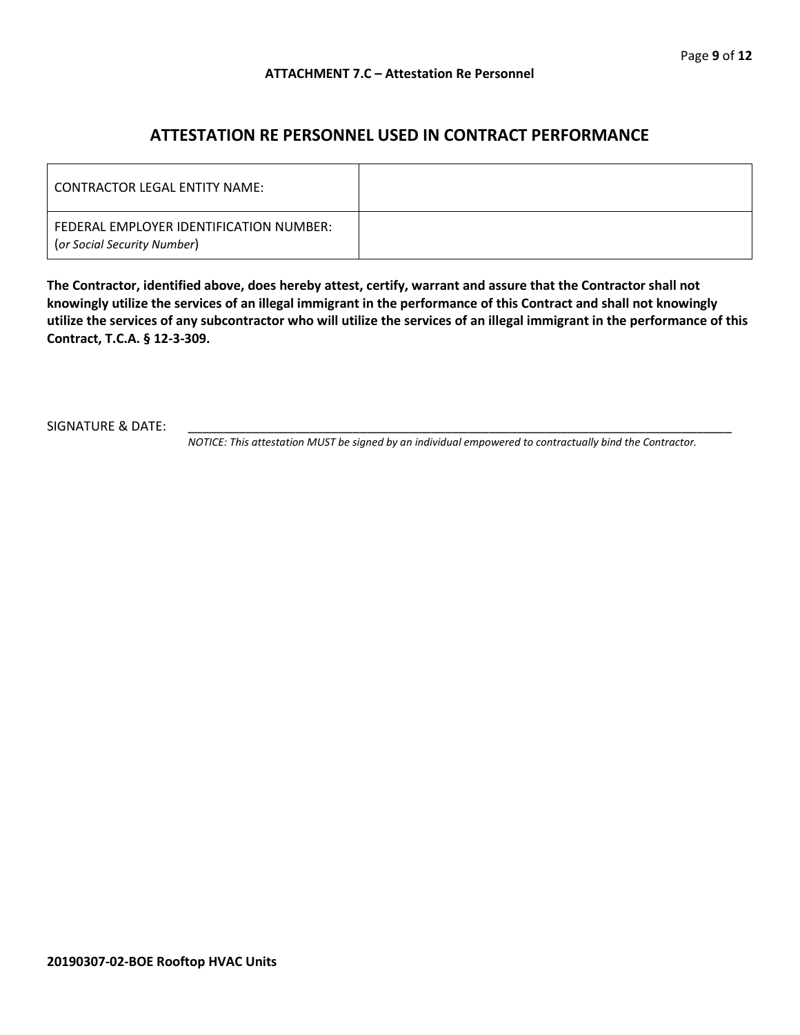### **ATTESTATION RE PERSONNEL USED IN CONTRACT PERFORMANCE**

| LCONTRACTOR LEGAL ENTITY NAME:                                         |  |
|------------------------------------------------------------------------|--|
| FEDERAL EMPLOYER IDENTIFICATION NUMBER:<br>(or Social Security Number) |  |

**The Contractor, identified above, does hereby attest, certify, warrant and assure that the Contractor shall not knowingly utilize the services of an illegal immigrant in the performance of this Contract and shall not knowingly utilize the services of any subcontractor who will utilize the services of an illegal immigrant in the performance of this Contract, T.C.A. § 12-3-309.**

SIGNATURE & DATE:

*NOTICE: This attestation MUST be signed by an individual empowered to contractually bind the Contractor.*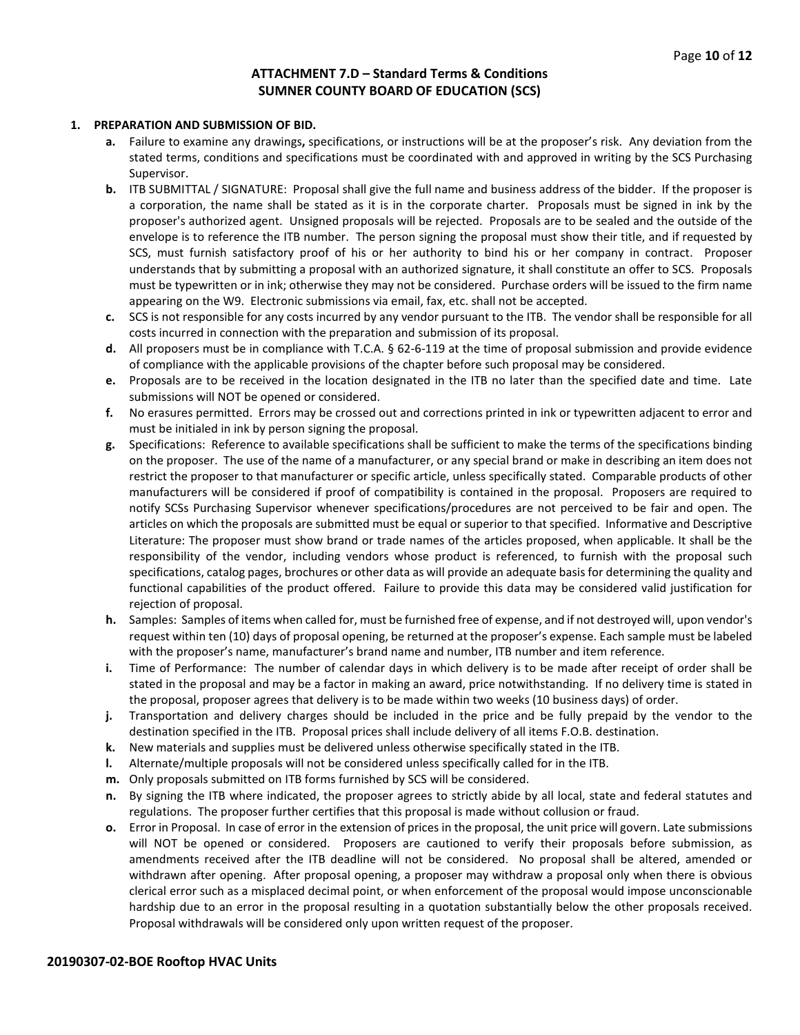#### **ATTACHMENT 7.D – Standard Terms & Conditions SUMNER COUNTY BOARD OF EDUCATION (SCS)**

#### **1. PREPARATION AND SUBMISSION OF BID.**

- **a.** Failure to examine any drawings**,** specifications, or instructions will be at the proposer's risk. Any deviation from the stated terms, conditions and specifications must be coordinated with and approved in writing by the SCS Purchasing Supervisor.
- **b.** ITB SUBMITTAL / SIGNATURE: Proposal shall give the full name and business address of the bidder. If the proposer is a corporation, the name shall be stated as it is in the corporate charter. Proposals must be signed in ink by the proposer's authorized agent. Unsigned proposals will be rejected. Proposals are to be sealed and the outside of the envelope is to reference the ITB number. The person signing the proposal must show their title, and if requested by SCS, must furnish satisfactory proof of his or her authority to bind his or her company in contract. Proposer understands that by submitting a proposal with an authorized signature, it shall constitute an offer to SCS. Proposals must be typewritten or in ink; otherwise they may not be considered. Purchase orders will be issued to the firm name appearing on the W9. Electronic submissions via email, fax, etc. shall not be accepted.
- **c.** SCS is not responsible for any costs incurred by any vendor pursuant to the ITB. The vendor shall be responsible for all costs incurred in connection with the preparation and submission of its proposal.
- **d.** All proposers must be in compliance with T.C.A. § 62-6-119 at the time of proposal submission and provide evidence of compliance with the applicable provisions of the chapter before such proposal may be considered.
- **e.** Proposals are to be received in the location designated in the ITB no later than the specified date and time. Late submissions will NOT be opened or considered.
- **f.** No erasures permitted. Errors may be crossed out and corrections printed in ink or typewritten adjacent to error and must be initialed in ink by person signing the proposal.
- **g.** Specifications: Reference to available specifications shall be sufficient to make the terms of the specifications binding on the proposer. The use of the name of a manufacturer, or any special brand or make in describing an item does not restrict the proposer to that manufacturer or specific article, unless specifically stated. Comparable products of other manufacturers will be considered if proof of compatibility is contained in the proposal. Proposers are required to notify SCSs Purchasing Supervisor whenever specifications/procedures are not perceived to be fair and open. The articles on which the proposals are submitted must be equal or superior to that specified. Informative and Descriptive Literature: The proposer must show brand or trade names of the articles proposed, when applicable. It shall be the responsibility of the vendor, including vendors whose product is referenced, to furnish with the proposal such specifications, catalog pages, brochures or other data as will provide an adequate basis for determining the quality and functional capabilities of the product offered. Failure to provide this data may be considered valid justification for rejection of proposal.
- **h.** Samples: Samples of items when called for, must be furnished free of expense, and if not destroyed will, upon vendor's request within ten (10) days of proposal opening, be returned at the proposer's expense. Each sample must be labeled with the proposer's name, manufacturer's brand name and number, ITB number and item reference.
- **i.** Time of Performance: The number of calendar days in which delivery is to be made after receipt of order shall be stated in the proposal and may be a factor in making an award, price notwithstanding. If no delivery time is stated in the proposal, proposer agrees that delivery is to be made within two weeks (10 business days) of order.
- **j.** Transportation and delivery charges should be included in the price and be fully prepaid by the vendor to the destination specified in the ITB. Proposal prices shall include delivery of all items F.O.B. destination.
- **k.** New materials and supplies must be delivered unless otherwise specifically stated in the ITB.
- **l.** Alternate/multiple proposals will not be considered unless specifically called for in the ITB.
- **m.** Only proposals submitted on ITB forms furnished by SCS will be considered.
- **n.** By signing the ITB where indicated, the proposer agrees to strictly abide by all local, state and federal statutes and regulations. The proposer further certifies that this proposal is made without collusion or fraud.
- **o.** Error in Proposal. In case of error in the extension of prices in the proposal, the unit price will govern. Late submissions will NOT be opened or considered. Proposers are cautioned to verify their proposals before submission, as amendments received after the ITB deadline will not be considered. No proposal shall be altered, amended or withdrawn after opening. After proposal opening, a proposer may withdraw a proposal only when there is obvious clerical error such as a misplaced decimal point, or when enforcement of the proposal would impose unconscionable hardship due to an error in the proposal resulting in a quotation substantially below the other proposals received. Proposal withdrawals will be considered only upon written request of the proposer.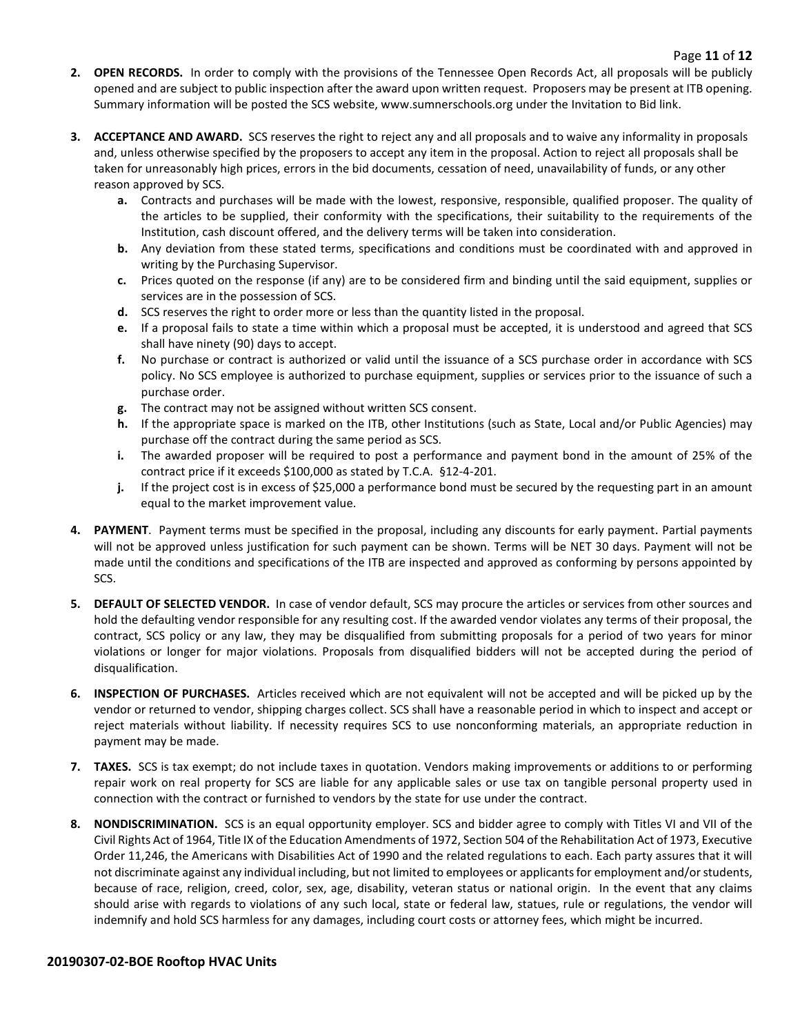- **2. OPEN RECORDS.** In order to comply with the provisions of the Tennessee Open Records Act, all proposals will be publicly opened and are subject to public inspection after the award upon written request. Proposers may be present at ITB opening. Summary information will be posted the SCS website, www.sumnerschools.org under the Invitation to Bid link.
- **3. ACCEPTANCE AND AWARD.** SCS reserves the right to reject any and all proposals and to waive any informality in proposals and, unless otherwise specified by the proposers to accept any item in the proposal. Action to reject all proposals shall be taken for unreasonably high prices, errors in the bid documents, cessation of need, unavailability of funds, or any other reason approved by SCS.
	- **a.** Contracts and purchases will be made with the lowest, responsive, responsible, qualified proposer. The quality of the articles to be supplied, their conformity with the specifications, their suitability to the requirements of the Institution, cash discount offered, and the delivery terms will be taken into consideration.
	- **b.** Any deviation from these stated terms, specifications and conditions must be coordinated with and approved in writing by the Purchasing Supervisor.
	- **c.** Prices quoted on the response (if any) are to be considered firm and binding until the said equipment, supplies or services are in the possession of SCS.
	- **d.** SCS reserves the right to order more or less than the quantity listed in the proposal.
	- **e.** If a proposal fails to state a time within which a proposal must be accepted, it is understood and agreed that SCS shall have ninety (90) days to accept.
	- **f.** No purchase or contract is authorized or valid until the issuance of a SCS purchase order in accordance with SCS policy. No SCS employee is authorized to purchase equipment, supplies or services prior to the issuance of such a purchase order.
	- **g.** The contract may not be assigned without written SCS consent.
	- **h.** If the appropriate space is marked on the ITB, other Institutions (such as State, Local and/or Public Agencies) may purchase off the contract during the same period as SCS.
	- **i.** The awarded proposer will be required to post a performance and payment bond in the amount of 25% of the contract price if it exceeds \$100,000 as stated by T.C.A. §12-4-201.
	- **j.** If the project cost is in excess of \$25,000 a performance bond must be secured by the requesting part in an amount equal to the market improvement value.
- **4. PAYMENT**. Payment terms must be specified in the proposal, including any discounts for early payment. Partial payments will not be approved unless justification for such payment can be shown. Terms will be NET 30 days. Payment will not be made until the conditions and specifications of the ITB are inspected and approved as conforming by persons appointed by SCS.
- **5. DEFAULT OF SELECTED VENDOR.** In case of vendor default, SCS may procure the articles or services from other sources and hold the defaulting vendor responsible for any resulting cost. If the awarded vendor violates any terms of their proposal, the contract, SCS policy or any law, they may be disqualified from submitting proposals for a period of two years for minor violations or longer for major violations. Proposals from disqualified bidders will not be accepted during the period of disqualification.
- **6. INSPECTION OF PURCHASES.** Articles received which are not equivalent will not be accepted and will be picked up by the vendor or returned to vendor, shipping charges collect. SCS shall have a reasonable period in which to inspect and accept or reject materials without liability. If necessity requires SCS to use nonconforming materials, an appropriate reduction in payment may be made.
- **7. TAXES.** SCS is tax exempt; do not include taxes in quotation. Vendors making improvements or additions to or performing repair work on real property for SCS are liable for any applicable sales or use tax on tangible personal property used in connection with the contract or furnished to vendors by the state for use under the contract.
- **8. NONDISCRIMINATION.** SCS is an equal opportunity employer. SCS and bidder agree to comply with Titles VI and VII of the Civil Rights Act of 1964, Title IX of the Education Amendments of 1972, Section 504 of the Rehabilitation Act of 1973, Executive Order 11,246, the Americans with Disabilities Act of 1990 and the related regulations to each. Each party assures that it will not discriminate against any individual including, but not limited to employees or applicants for employment and/or students, because of race, religion, creed, color, sex, age, disability, veteran status or national origin. In the event that any claims should arise with regards to violations of any such local, state or federal law, statues, rule or regulations, the vendor will indemnify and hold SCS harmless for any damages, including court costs or attorney fees, which might be incurred.